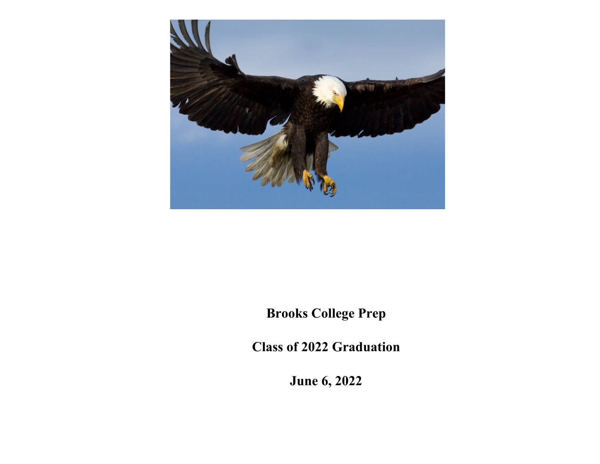

**Brooks College Prep**

**Class of 2022 Graduation**

**June 6, 2022**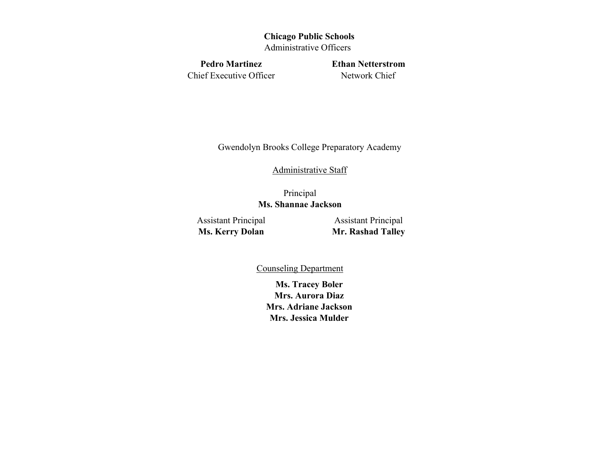# **Chicago Public Schools**

Administrative Officers

Chief Executive Officer Network Chief

Pedro Martinez **Ethan Netterstrom** 

Gwendolyn Brooks College Preparatory Academy

# Administrative Staff

Principal **Ms. Shannae Jackson** 

Assistant Principal Assistant Principal

**Ms. Kerry Dolan Mr. Rashad Talley** 

Counseling Department

**Ms. Tracey Boler Mrs. Aurora Diaz Mrs. Adriane Jackson Mrs. Jessica Mulder**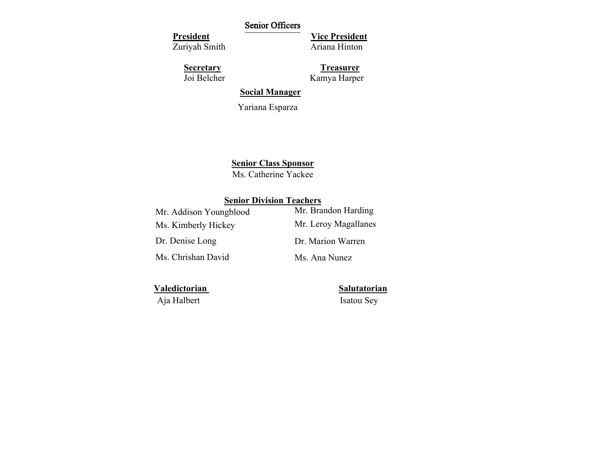# Senior Officers

**President** 

Zuriyah Smith

**Vice President** Ariana Hinton

**Secretary** 

Joi Belcher

**Treasurer**  Kamya Harper

**Social Manager**

Yariana Esparza

**Senior Class Sponsor**

Ms. Catherine Yackee

# **Senior Division Teachers**

| Mr. Addison Youngblood | Mr. Brandon Harding  |
|------------------------|----------------------|
| Ms. Kimberly Hickey    | Mr. Leroy Magallanes |
| Dr. Denise Long        | Dr. Marion Warren    |
| Ms. Chrishan David     | Ms. Ana Nunez        |

**Valedictorian Salutatorian** 

Aja Halbert Isatou Sey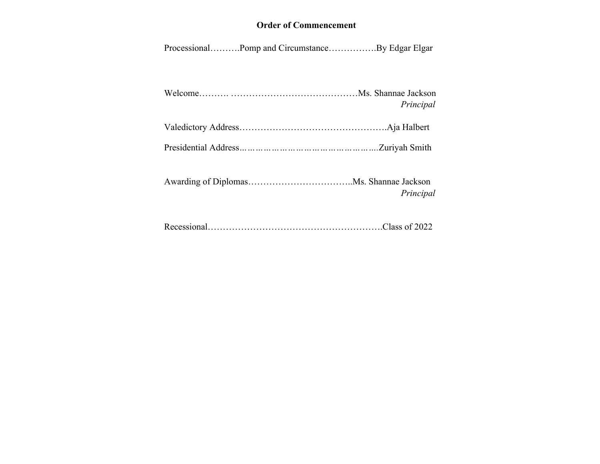# **Order of Commencement**

Processional……….Pomp and Circumstance…………….By Edgar Elgar

| Principal |
|-----------|

|--|--|

Presidential Address*…………………………………………….*Zuriyah Smith

Awarding of Diplomas……………………………..Ms. Shannae Jackson *Principal* 

Recessional………………………………………………….Class of 2022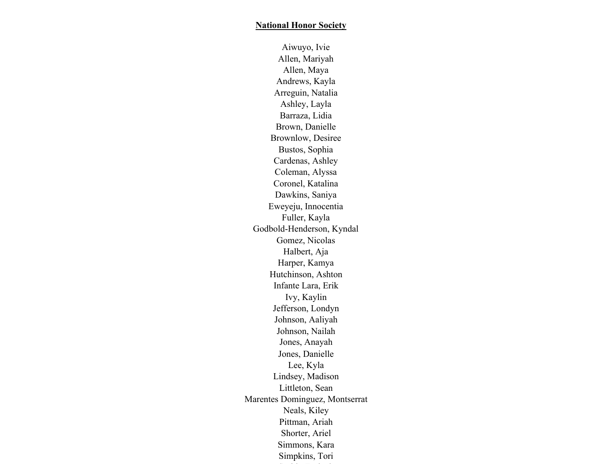Aiwuyo, Ivie Allen, Mariyah Allen, Maya Andrews, Kayla Arreguin, Natalia Ashley, Layla Barraza, Lidia Brown, Danielle Brownlow, Desiree Bustos, Sophia Cardenas, Ashley Coleman, Alyssa Coronel, Katalina Dawkins, Saniya Eweyeju, Innocentia Fuller, Kayla Godbold-Henderson, Kyndal Gomez, Nicolas Halbert, Aja Harper, Kamya Hutchinson, Ashton Infante Lara, Erik Ivy, Kaylin Jefferson, Londyn Johnson, Aaliyah Johnson, Nailah Jones, Anayah Jones, Danielle Lee, Kyla Lindsey, Madison Littleton, Sean Marentes Dominguez, Montserrat Neals, Kiley Pittman, Ariah Shorter, Ariel Simmons, Kara Simpkins, Tori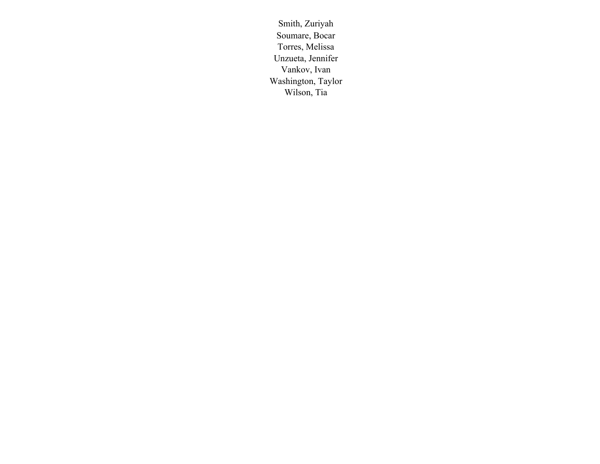Smith, Zuriyah Soumare, Bocar Torres, Melissa Unzueta, Jennifer Vankov, Ivan Washington, Taylor Wilson, Tia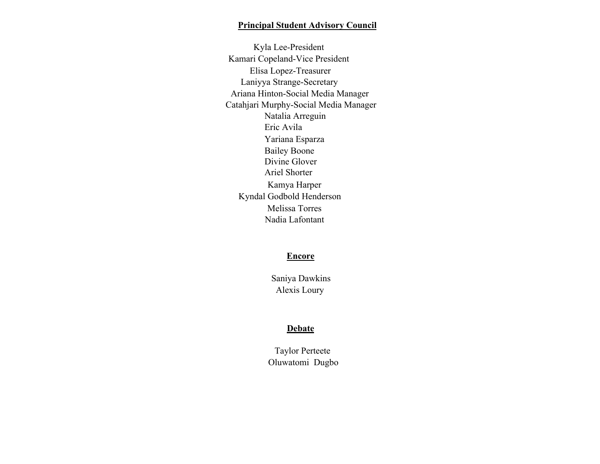# **Principal Student Advisory Council**

Kyla Lee-President Kamari Copeland-Vice President Elisa Lopez-Treasurer Laniyya Strange-Secretary Ariana Hinton-Social Media Manager Catahjari Murphy-Social Media Manager Natalia Arreguin Eric Avila Yariana Esparza Bailey Boone Divine Glover Ariel Shorter Kamya Harper Kyndal Godbold Henderson Melissa Torres Nadia Lafontant

#### **Encore**

Saniya Dawkins Alexis Loury

# **Debate**

Taylor Perteete Oluwatomi Dugbo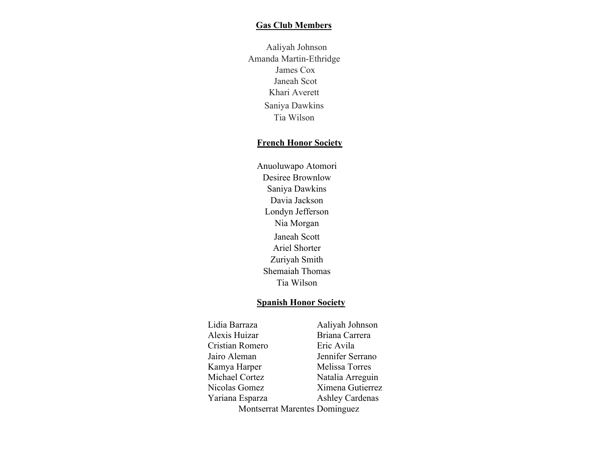#### **Gas Club Members**

Aaliyah Johnson Amanda Martin-Ethridge James Cox Janeah Scot Khari Averett Saniya Dawkins Tia Wilson

#### **French Honor Society**

Anuoluwapo Atomori Desiree Brownlow Saniya Dawkins Davia Jackson Londyn Jefferson Nia Morgan Janeah Scott Ariel Shorter Zuriyah Smith Shemaiah Thomas Tia Wilson

#### **Spanish Honor Society**

Lidia Barraza Aaliyah Johnson Alexis Huizar Briana Carrera Cristian Romero Eric Avila Jairo Aleman Jennifer Serrano Kamya Harper Melissa Torres Michael Cortez Natalia Arreguin Nicolas Gomez Ximena Gutierrez Yariana Esparza Ashley Cardenas Montserrat Marentes Dominguez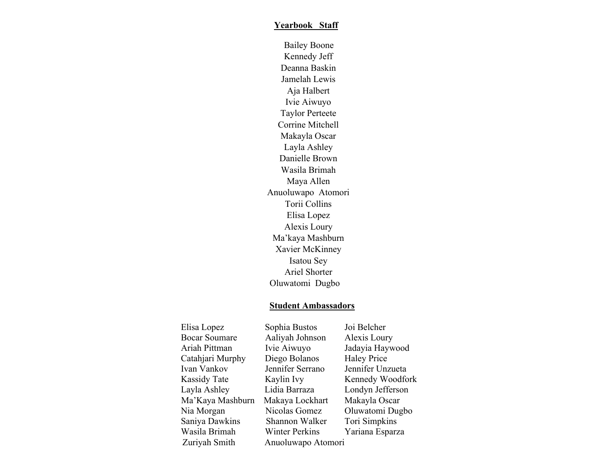# **Yearbook Staff**

Bailey Boone Kennedy Jeff Deanna Baskin Jamelah Lewis Aja Halbert Ivie Aiwuyo Taylor Perteete Corrine Mitchell Makayla Oscar Layla Ashley Danielle Brown Wasila Brimah Maya Allen Anuoluwapo Atomori Torii Collins Elisa Lopez Alexis Loury Ma'kaya Mashburn Xavier McKinney Isatou Sey Ariel Shorter Oluwatomi Dugbo

# **Student Ambassadors**

| Elisa Lopez          | Sophia Bustos         | Joi Belcher        |
|----------------------|-----------------------|--------------------|
| <b>Bocar Soumare</b> | Aaliyah Johnson       | Alexis Loury       |
| Ariah Pittman        | Ivie Aiwuyo           | Jadayia Haywood    |
| Catahjari Murphy     | Diego Bolanos         | <b>Haley Price</b> |
| Ivan Vankov          | Jennifer Serrano      | Jennifer Unzueta   |
| Kassidy Tate         | Kaylin Ivy            | Kennedy Woodfork   |
| Layla Ashley         | Lidia Barraza         | Londyn Jefferson   |
| Ma'Kaya Mashburn     | Makaya Lockhart       | Makayla Oscar      |
| Nia Morgan           | Nicolas Gomez         | Oluwatomi Dugbo    |
| Saniya Dawkins       | Shannon Walker        | Tori Simpkins      |
| Wasila Brimah        | <b>Winter Perkins</b> | Yariana Esparza    |
| Zuriyah Smith        | Anuoluwapo Atomori    |                    |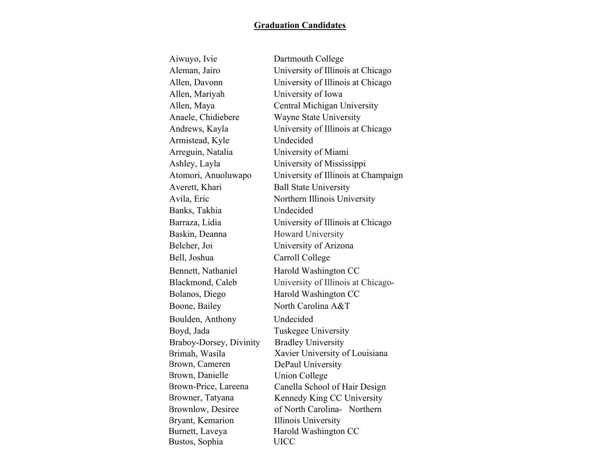# **Graduation Candidates**

| Aiwuyo, Ivie            | Dartmouth College                   |
|-------------------------|-------------------------------------|
| Aleman, Jairo           | University of Illinois at Chicago   |
| Allen, Davonn           | University of Illinois at Chicago   |
| Allen, Mariyah          | University of Iowa                  |
| Allen, Maya             | Central Michigan University         |
| Anaele, Chidiebere      | Wayne State University              |
| Andrews, Kayla          | University of Illinois at Chicago   |
| Armistead, Kyle         | Undecided                           |
| Arreguin, Natalia       | University of Miami                 |
| Ashley, Layla           | University of Mississippi           |
| Atomori, Anuoluwapo     | University of Illinois at Champaign |
| Averett, Khari          | <b>Ball State University</b>        |
| Avila, Eric             | Northern Illinois University        |
| Banks, Takhia           | Undecided                           |
| Barraza, Lidia          | University of Illinois at Chicago   |
| Baskin, Deanna          | Howard University                   |
| Belcher, Joi            | University of Arizona               |
| Bell, Joshua            | Carroll College                     |
| Bennett, Nathaniel      | Harold Washington CC                |
| Blackmond, Caleb        | University of Illinois at Chicago-  |
| Bolanos, Diego          | Harold Washington CC                |
| Boone, Bailey           | North Carolina A&T                  |
| Boulden, Anthony        | Undecided                           |
| Boyd, Jada              | Tuskegee University                 |
| Braboy-Dorsey, Divinity | <b>Bradley University</b>           |
| Brimah, Wasila          | Xavier University of Louisiana      |
| Brown, Cameren          | DePaul University                   |
| Brown, Danielle         | Union College                       |
| Brown-Price, Lareena    | Canella School of Hair Design       |
| Browner, Tatyana        | Kennedy King CC University          |
| Brownlow, Desiree       | of North Carolina- Northern         |
| Bryant, Kemarion        | <b>Illinois University</b>          |
| Burnett, Laveya         | Harold Washington CC                |
| Bustos, Sophia          | <b>UICC</b>                         |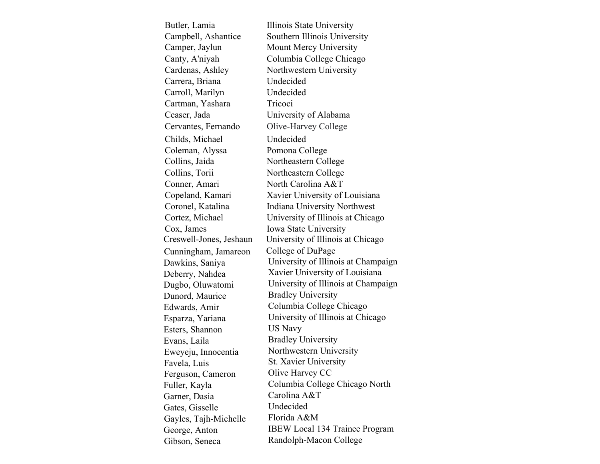| Butler, Lamia           | Illinois State University             |
|-------------------------|---------------------------------------|
| Campbell, Ashantice     | Southern Illinois University          |
| Camper, Jaylun          | Mount Mercy University                |
| Canty, A'niyah          | Columbia College Chicago              |
| Cardenas, Ashley        | Northwestern University               |
| Carrera, Briana         | Undecided                             |
| Carroll, Marilyn        | Undecided                             |
| Cartman, Yashara        | Tricoci                               |
| Ceaser, Jada            | University of Alabama                 |
| Cervantes, Fernando     | Olive-Harvey College                  |
| Childs, Michael         | Undecided                             |
| Coleman, Alyssa         | Pomona College                        |
| Collins, Jaida          | Northeastern College                  |
| Collins, Torii          | Northeastern College                  |
| Conner, Amari           | North Carolina A&T                    |
| Copeland, Kamari        | Xavier University of Louisiana        |
| Coronel, Katalina       | <b>Indiana University Northwest</b>   |
| Cortez, Michael         | University of Illinois at Chicago     |
| Cox, James              | Iowa State University                 |
| Creswell-Jones, Jeshaun | University of Illinois at Chicago     |
| Cunningham, Jamareon    | College of DuPage                     |
| Dawkins, Saniya         | University of Illinois at Champaign   |
| Deberry, Nahdea         | Xavier University of Louisiana        |
| Dugbo, Oluwatomi        | University of Illinois at Champaign   |
| Dunord, Maurice         | <b>Bradley University</b>             |
| Edwards, Amir           | Columbia College Chicago              |
| Esparza, Yariana        | University of Illinois at Chicago     |
| Esters, Shannon         | US Navy                               |
| Evans, Laila            | <b>Bradley University</b>             |
| Eweyeju, Innocentia     | Northwestern University               |
| Favela, Luis            | St. Xavier University                 |
| Ferguson, Cameron       | Olive Harvey CC                       |
| Fuller, Kayla           | Columbia College Chicago North        |
| Garner, Dasia           | Carolina A&T                          |
| Gates, Gisselle         | Undecided                             |
| Gayles, Tajh-Michelle   | Florida A&M                           |
| George, Anton           | <b>IBEW Local 134 Trainee Program</b> |
| Gibson, Seneca          | Randolph-Macon College                |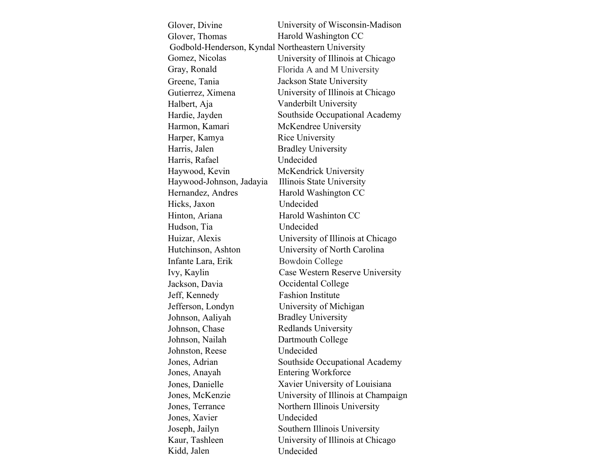| Glover, Divine                                    | University of Wisconsin-Madison     |
|---------------------------------------------------|-------------------------------------|
| Glover, Thomas                                    | Harold Washington CC                |
| Godbold-Henderson, Kyndal Northeastern University |                                     |
| Gomez, Nicolas                                    | University of Illinois at Chicago   |
| Gray, Ronald                                      | Florida A and M University          |
| Greene, Tania                                     | Jackson State University            |
| Gutierrez, Ximena                                 | University of Illinois at Chicago   |
| Halbert, Aja                                      | Vanderbilt University               |
| Hardie, Jayden                                    | Southside Occupational Academy      |
| Harmon, Kamari                                    | McKendree University                |
| Harper, Kamya                                     | Rice University                     |
| Harris, Jalen                                     | <b>Bradley University</b>           |
| Harris, Rafael                                    | Undecided                           |
| Haywood, Kevin                                    | McKendrick University               |
| Haywood-Johnson, Jadayia                          | Illinois State University           |
| Hernandez, Andres                                 | Harold Washington CC                |
| Hicks, Jaxon                                      | Undecided                           |
| Hinton, Ariana                                    | Harold Washinton CC                 |
| Hudson, Tia                                       | Undecided                           |
| Huizar, Alexis                                    | University of Illinois at Chicago   |
| Hutchinson, Ashton                                | University of North Carolina        |
| Infante Lara, Erik                                | Bowdoin College                     |
| Ivy, Kaylin                                       | Case Western Reserve University     |
| Jackson, Davia                                    | Occidental College                  |
| Jeff, Kennedy                                     | <b>Fashion Institute</b>            |
| Jefferson, Londyn                                 | University of Michigan              |
| Johnson, Aaliyah                                  | <b>Bradley University</b>           |
| Johnson, Chase                                    | Redlands University                 |
| Johnson, Nailah                                   | Dartmouth College                   |
| Johnston, Reese                                   | Undecided                           |
| Jones, Adrian                                     | Southside Occupational Academy      |
| Jones, Anayah                                     | <b>Entering Workforce</b>           |
| Jones, Danielle                                   | Xavier University of Louisiana      |
| Jones, McKenzie                                   | University of Illinois at Champaign |
| Jones, Terrance                                   | Northern Illinois University        |
| Jones, Xavier                                     | Undecided                           |
| Joseph, Jailyn                                    | Southern Illinois University        |
| Kaur, Tashleen                                    | University of Illinois at Chicago   |
| Kidd, Jalen                                       | Undecided                           |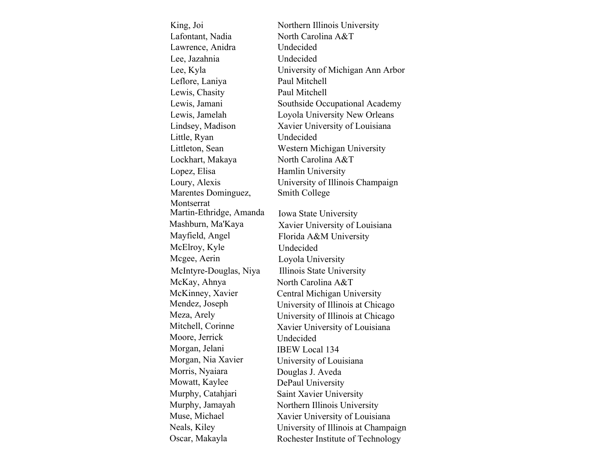| King, Joi               | Northern Illinois University        |
|-------------------------|-------------------------------------|
| Lafontant, Nadia        | North Carolina A&T                  |
| Lawrence, Anidra        | Undecided                           |
| Lee, Jazahnia           | Undecided                           |
| Lee, Kyla               | University of Michigan Ann Arbor    |
| Leflore, Laniya         | Paul Mitchell                       |
| Lewis, Chasity          | Paul Mitchell                       |
| Lewis, Jamani           | Southside Occupational Academy      |
| Lewis, Jamelah          | Loyola University New Orleans       |
| Lindsey, Madison        | Xavier University of Louisiana      |
| Little, Ryan            | Undecided                           |
| Littleton, Sean         | Western Michigan University         |
| Lockhart, Makaya        | North Carolina A&T                  |
| Lopez, Elisa            | Hamlin University                   |
| Loury, Alexis           | University of Illinois Champaign    |
| Marentes Dominguez,     | Smith College                       |
| Montserrat              |                                     |
| Martin-Ethridge, Amanda | Iowa State University               |
| Mashburn, Ma'Kaya       | Xavier University of Louisiana      |
| Mayfield, Angel         | Florida A&M University              |
| McElroy, Kyle           | Undecided                           |
| Mcgee, Aerin            | Loyola University                   |
| McIntyre-Douglas, Niya  | Illinois State University           |
| McKay, Ahnya            | North Carolina A&T                  |
| McKinney, Xavier        | Central Michigan University         |
| Mendez, Joseph          | University of Illinois at Chicago   |
| Meza, Arely             | University of Illinois at Chicago   |
| Mitchell, Corinne       | Xavier University of Louisiana      |
| Moore, Jerrick          | Undecided                           |
| Morgan, Jelani          | <b>IBEW Local 134</b>               |
| Morgan, Nia Xavier      | University of Louisiana             |
| Morris, Nyaiara         | Douglas J. Aveda                    |
| Mowatt, Kaylee          | DePaul University                   |
| Murphy, Catahjari       | Saint Xavier University             |
| Murphy, Jamayah         | Northern Illinois University        |
| Muse, Michael           | Xavier University of Louisiana      |
| Neals, Kiley            | University of Illinois at Champaign |
| Oscar, Makayla          | Rochester Institute of Technology   |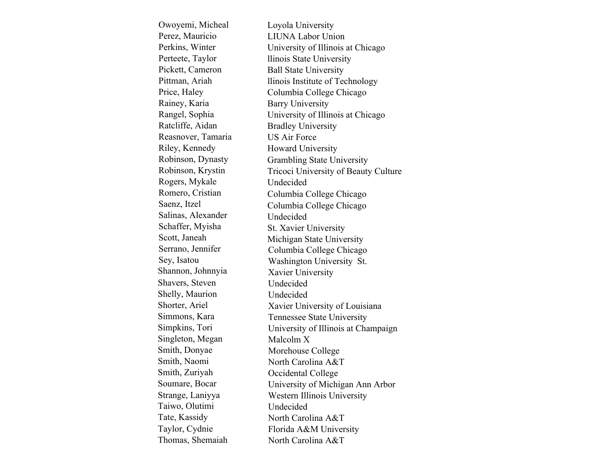Loyola University LIUNA Labor Union University of Illinois at Chicago llinois State University Ball State University llinois Institute of Technology Columbia College Chicago Barry University University of Illinois at Chicago Bradley University US Air Force Howard University Grambling State University Tricoci University of Beauty Culture Undecided Columbia College Chicago Columbia College Chicago Undecided St. Xavier University Michigan State University Owoyemi, Micheal Perez, Mauricio Perkins, Winter Perteete, Taylor Pickett, Cameron Pittman, Ariah Price, Haley Rainey, Karia Rangel, Sophia Ratcliffe, Aidan Reasnover, Tamaria Riley, Kennedy Robinson, Dynasty Robinson, Krystin Rogers, Mykale Romero, Cristian Saenz, Itzel Salinas, Alexander Schaffer, Myisha Scott, Janeah Serrano, Jennifer Sey, Isatou Shannon, Johnnyia Shavers, Steven Shelly, Maurion Shorter, Ariel Simmons, Kara Simpkins, Tori Singleton, Megan Smith, Donyae Smith, Naomi Smith, Zuriyah Soumare, Bocar Strange, Laniyya Taiwo, Olutimi Tate, Kassidy Taylor, Cydnie Thomas, Shemaiah Columbia College Chicago Washington University St. Xavier University Undecided Undecided Xavier University of Louisiana Tennessee State University University of Illinois at Champaign Malcolm X Morehouse College North Carolina A&T Occidental College University of Michigan Ann Arbor Western Illinois University Undecided North Carolina A&T Florida A&M University North Carolina A&T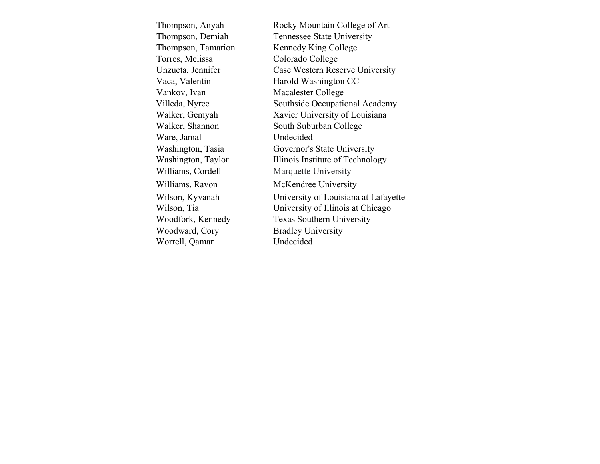| Thompson, Anyah    | Rocky Mountain College of Art        |
|--------------------|--------------------------------------|
| Thompson, Demiah   | Tennessee State University           |
| Thompson, Tamarion | Kennedy King College                 |
| Torres, Melissa    | Colorado College                     |
| Unzueta, Jennifer  | Case Western Reserve University      |
| Vaca, Valentin     | Harold Washington CC                 |
| Vankov, Ivan       | Macalester College                   |
| Villeda, Nyree     | Southside Occupational Academy       |
| Walker, Gemyah     | Xavier University of Louisiana       |
| Walker, Shannon    | South Suburban College               |
| Ware, Jamal        | Undecided                            |
| Washington, Tasia  | Governor's State University          |
| Washington, Taylor | Illinois Institute of Technology     |
| Williams, Cordell  | Marquette University                 |
| Williams, Ravon    | McKendree University                 |
| Wilson, Kyvanah    | University of Louisiana at Lafayette |
| Wilson, Tia        | University of Illinois at Chicago    |
| Woodfork, Kennedy  | <b>Texas Southern University</b>     |
| Woodward, Cory     | <b>Bradley University</b>            |
| Worrell, Qamar     | Undecided                            |
|                    |                                      |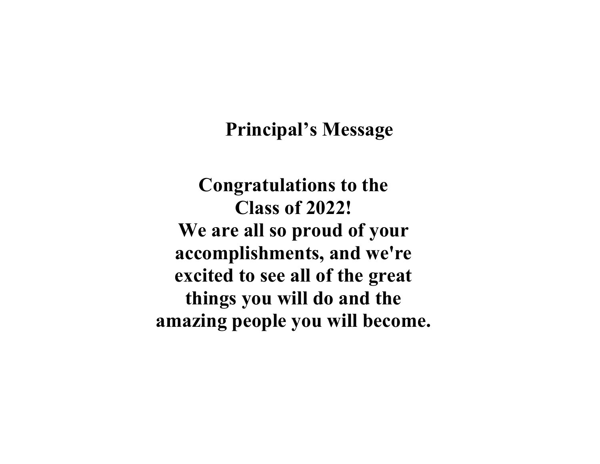# **Principal's Message**

**Congratulations to the Class of 2022! We are all so proud of your accomplishments, and we're excited to see all of the great things you will do and the amazing people you will become.**